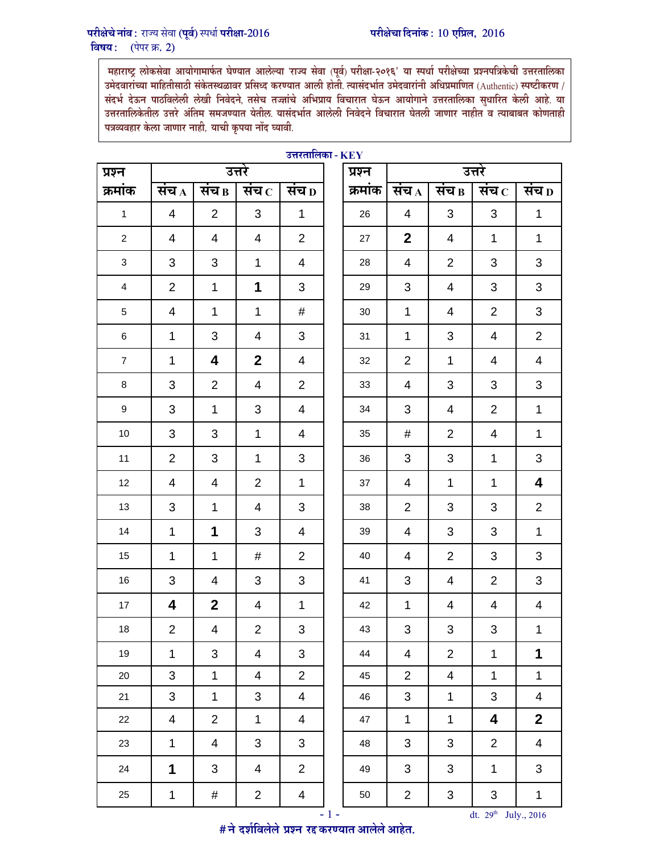महाराष्ट्र लोकसेवा आयोगामार्फत घेण्यात आलेल्या 'राज्य सेवा (पूर्व) परीक्षा-२०१६' या स्पर्धा परीक्षेच्या प्रश्नपत्रिकेची उत्तरतालिका उमेदवाराच्या माहितीसाठी सकेतस्थळावर प्रसिध्द करण्यात आली होती. त्यासदभोत उमेदवारानी अधिप्रमाणित (Authentic) स्पष्टीकरण / संदर्भ देऊन पाठविलेली लेखी निवेदने, तसेच तज्ज्ञांचे अभिप्राय विचारात घेऊन आयोगाने उत्तरतालिका सुधारित केली आहे. या उत्तरतालिकेतील उत्तरे अंतिम समजण्यात येतील. यासंदभोत आलेली निवेदने विचारात घेतली जाणार नाहीत व त्याबाबत कोणताही पत्रव्यवहार केला जाणार नाही, याची कृपया नोद घ्यावी.

| प्रश्न                    | उत्तरे                  |                         |                         |                         |  | प्रश्न  | उत्तरे                    |                         |                           |                           |  |  |
|---------------------------|-------------------------|-------------------------|-------------------------|-------------------------|--|---------|---------------------------|-------------------------|---------------------------|---------------------------|--|--|
| क्रमांक                   | संच $_A$                | संच $_{\rm B}$          | संच $\,$ $\,$           | संच $_D$                |  | क्रमांक | संच $_A$                  | संच $_{\rm B}$          | संच $\, {\rm c} \,$       | संच $_D$                  |  |  |
| $\mathbf{1}$              | $\overline{\mathbf{4}}$ | $\overline{2}$          | $\mathbf{3}$            | $\mathbf 1$             |  | 26      | $\overline{4}$            | 3                       | 3                         | $\overline{1}$            |  |  |
| $\overline{a}$            | $\overline{\mathbf{4}}$ | $\overline{4}$          | $\overline{\mathbf{4}}$ | $\overline{2}$          |  | 27      | $\boldsymbol{2}$          | $\overline{\mathbf{4}}$ | $\mathbf 1$               | $\mathbf{1}$              |  |  |
| $\ensuremath{\mathsf{3}}$ | $\mathsf 3$             | 3                       | $\mathbf{1}$            | $\overline{\mathbf{4}}$ |  | 28      | $\overline{\mathbf{4}}$   | $\overline{2}$          | 3                         | 3                         |  |  |
| $\overline{4}$            | $\overline{2}$          | $\mathbf 1$             | 1                       | 3                       |  | 29      | $\ensuremath{\mathsf{3}}$ | $\overline{\mathbf{4}}$ | $\ensuremath{\mathsf{3}}$ | 3                         |  |  |
| $\overline{5}$            | $\overline{4}$          | $\mathbf{1}$            | $\mathbf{1}$            | #                       |  | 30      | $\mathbf 1$               | $\overline{4}$          | $\overline{2}$            | 3                         |  |  |
| 6                         | $\mathbf{1}$            | 3                       | $\overline{\mathbf{4}}$ | $\overline{3}$          |  | 31      | $\mathbf 1$               | $\overline{3}$          | $\overline{4}$            | $\overline{2}$            |  |  |
| $\overline{7}$            | $\mathbf 1$             | $\overline{\mathbf{4}}$ | $\mathbf{2}$            | $\overline{\mathbf{4}}$ |  | 32      | $\overline{2}$            | $\mathbf{1}$            | $\overline{4}$            | $\overline{4}$            |  |  |
| $\bf 8$                   | 3                       | $\overline{2}$          | $\overline{\mathbf{4}}$ | $\overline{2}$          |  | 33      | $\overline{4}$            | 3                       | $\mathsf 3$               | $\mathbf{3}$              |  |  |
| 9                         | 3                       | $\mathbf{1}$            | 3                       | $\overline{\mathbf{4}}$ |  | 34      | $\sqrt{3}$                | $\overline{\mathbf{4}}$ | $\mathbf 2$               | $\mathbf{1}$              |  |  |
| $10$                      | $\mathbf{3}$            | 3                       | $\mathbf{1}$            | $\overline{4}$          |  | 35      | $\#$                      | $\overline{2}$          | $\overline{\mathbf{4}}$   | $\mathbf{1}$              |  |  |
| 11                        | $\overline{2}$          | 3                       | $\mathbf{1}$            | 3                       |  | 36      | $\mathfrak{B}$            | 3                       | $\mathbf 1$               | $\mathfrak{S}$            |  |  |
| 12                        | $\overline{4}$          | $\overline{\mathbf{4}}$ | $\overline{2}$          | $\mathbf{1}$            |  | 37      | $\overline{\mathbf{4}}$   | $\mathbf{1}$            | $\mathbf 1$               | $\overline{\mathbf{4}}$   |  |  |
| $13\,$                    | 3                       | $\mathbf{1}$            | $\overline{\mathbf{4}}$ | 3                       |  | $38\,$  | $\overline{2}$            | 3                       | $\mathbf{3}$              | $\overline{a}$            |  |  |
| 14                        | $\mathbf 1$             | 1                       | 3                       | $\overline{\mathbf{4}}$ |  | 39      | $\overline{\mathbf{4}}$   | 3                       | $\mathbf{3}$              | $\overline{1}$            |  |  |
| 15                        | $\mathbf 1$             | $\mathbf{1}$            | #                       | $\overline{2}$          |  | 40      | $\overline{\mathbf{4}}$   | $\overline{2}$          | $\mathbf{3}$              | $\mathfrak{S}$            |  |  |
| 16                        | $\mathsf 3$             | $\overline{4}$          | 3                       | 3                       |  | 41      | $\mathsf 3$               | $\overline{4}$          | $\overline{2}$            | $\ensuremath{\mathsf{3}}$ |  |  |
| 17                        | 4                       | $\overline{2}$          | 4                       | $\mathbf{1}$            |  | 42      | $\mathbf 1$               | $\overline{4}$          | $\overline{\mathcal{A}}$  | $\overline{\mathbf{4}}$   |  |  |
| $18$                      | $\overline{2}$          | 4                       | $\overline{2}$          | 3                       |  | 43      | $\ensuremath{\mathsf{3}}$ | 3                       | $\ensuremath{\mathsf{3}}$ | $\mathbf 1$               |  |  |
| 19                        | 1                       | 3                       | 4                       | 3                       |  | 44      | 4                         | $\overline{2}$          | 1                         | 1                         |  |  |
| $20\,$                    | 3                       | $\mathbf{1}$            | $\overline{\mathbf{4}}$ | $\overline{2}$          |  | 45      | $\overline{2}$            | $\overline{4}$          | $\mathbf 1$               | $\mathbf 1$               |  |  |
| 21                        | 3                       | $\mathbf{1}$            | 3                       | $\overline{\mathbf{4}}$ |  | 46      | $\mathbf{3}$              | $\mathbf{1}$            | 3                         | $\overline{\mathbf{4}}$   |  |  |
| 22                        | 4                       | $\overline{2}$          | 1                       | 4                       |  | 47      | 1                         | $\mathbf 1$             | 4                         | $\mathbf 2$               |  |  |
| 23                        | $\mathbf{1}$            | $\overline{4}$          | $\mathfrak{S}$          | 3                       |  | 48      | $\sqrt{3}$                | $\mathfrak{S}$          | $\mathbf 2$               | $\overline{\mathbf{4}}$   |  |  |
| 24                        | 1                       | 3                       | 4                       | $\overline{2}$          |  | 49      | $\sqrt{3}$                | 3                       | $\mathbf 1$               | $\mathfrak{S}$            |  |  |
| 25                        | $\mathbf 1$             | #                       | $\overline{c}$          | $\overline{\mathbf{4}}$ |  | 50      | $\overline{c}$            | $\mathfrak{S}$          | $\ensuremath{\mathsf{3}}$ | $\mathbf 1$               |  |  |

## **3त्तरतालिका - KEY**

 $#$  ने दर्शविलेले प्रश्न रद्द करण्यात आलेले आहेत.

 $-1$  - dt. 29<sup>th</sup> July., 2016